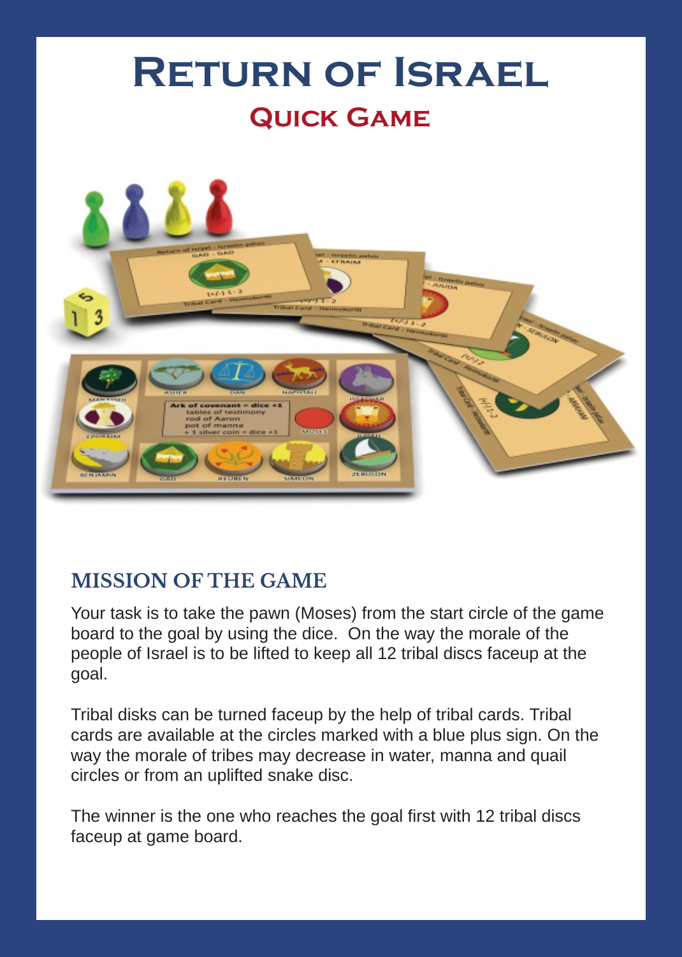

# **MISSION OF THE GAME**

Your task is to take the pawn (Moses) from the start circle of the game board to the goal by using the dice. On the way the morale of the people of Israel is to be lifted to keep all 12 tribal discs faceup at the goal.

Tribal disks can be turned faceup by the help of tribal cards. Tribal cards are available at the circles marked with a blue plus sign. On the way the morale of tribes may decrease in water, manna and quail circles or from an uplifted snake disc.

The winner is the one who reaches the goal first with 12 tribal discs faceup at game board.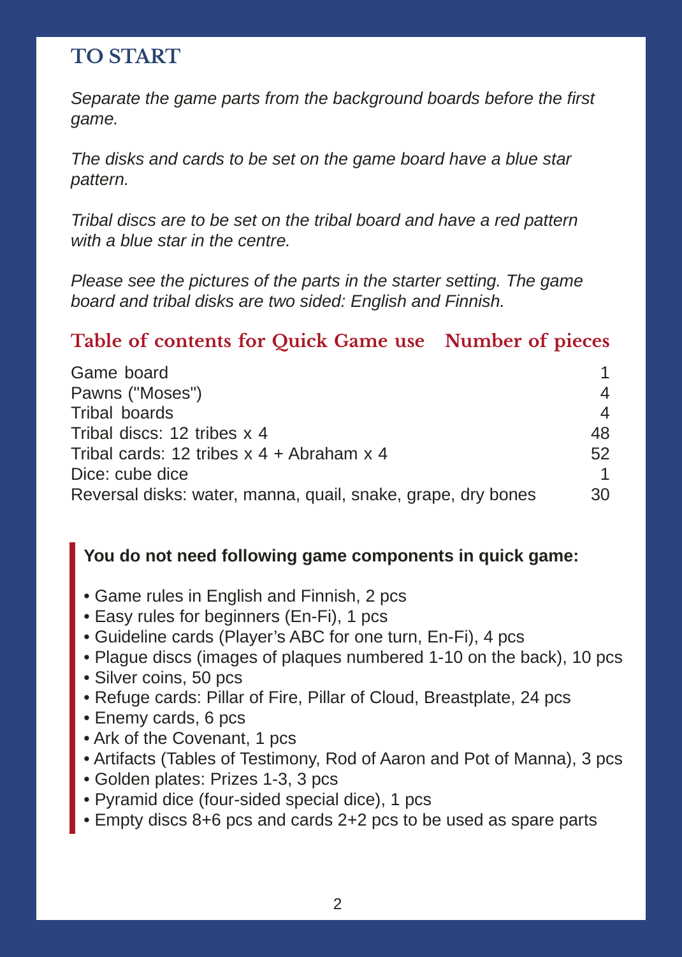# **TO START**

*Separate the game parts from the background boards before the first game.*

*The disks and cards to be set on the game board have a blue star pattern.*

*Tribal discs are to be set on the tribal board and have a red pattern with a blue star in the centre.*

*Please see the pictures of the parts in the starter setting. The game board and tribal disks are two sided: English and Finnish.*

### **Table of contents for Quick Game use Number of pieces**

| Game board                                                   |     |
|--------------------------------------------------------------|-----|
| Pawns ("Moses")                                              | 4   |
| Tribal boards                                                | 4   |
| Tribal discs: 12 tribes x 4                                  | 48  |
| Tribal cards: 12 tribes $x$ 4 + Abraham $x$ 4                | 52  |
| Dice: cube dice                                              | 1   |
| Reversal disks: water, manna, quail, snake, grape, dry bones | 30. |

### **You do not need following game components in quick game:**

- Game rules in English and Finnish, 2 pcs
- Easy rules for beginners (En-Fi), 1 pcs
- Guideline cards (Player's ABC for one turn, En-Fi), 4 pcs
- Plague discs (images of plaques numbered 1-10 on the back), 10 pcs
- Silver coins, 50 pcs
- Refuge cards: Pillar of Fire, Pillar of Cloud, Breastplate, 24 pcs
- Enemy cards, 6 pcs
- Ark of the Covenant, 1 pcs
- Artifacts (Tables of Testimony, Rod of Aaron and Pot of Manna), 3 pcs
- Golden plates: Prizes 1-3, 3 pcs
- Pyramid dice (four-sided special dice), 1 pcs
- Empty discs 8+6 pcs and cards 2+2 pcs to be used as spare parts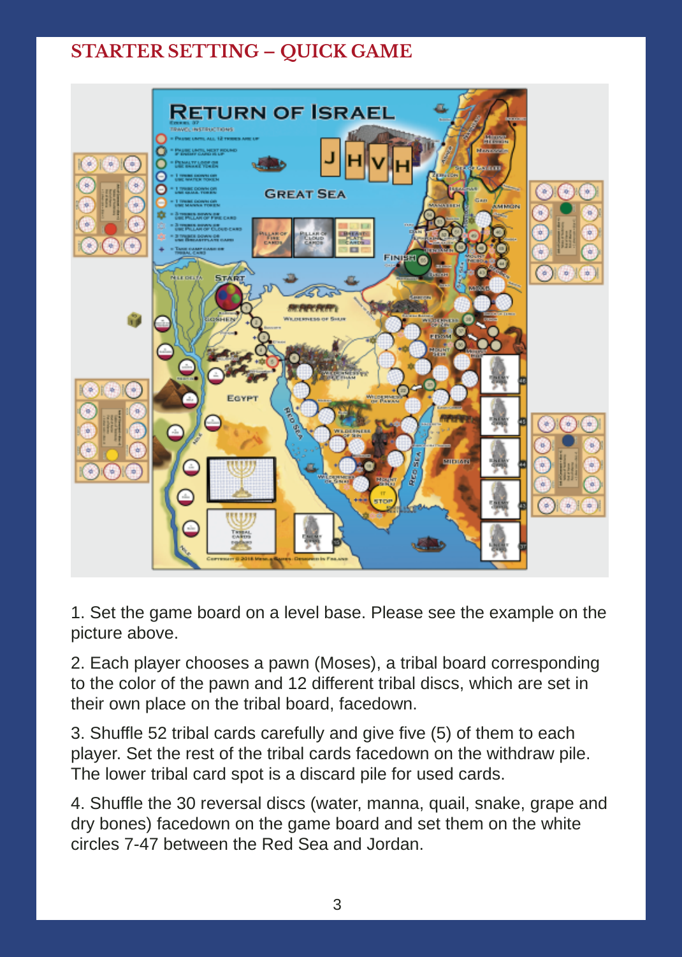## **STARTER SETTING – QUICK GAME**



1. Set the game board on a level base. Please see the example on the picture above.

2. Each player chooses a pawn (Moses), a tribal board corresponding to the color of the pawn and 12 different tribal discs, which are set in their own place on the tribal board, facedown.

3. Shuffle 52 tribal cards carefully and give five (5) of them to each player. Set the rest of the tribal cards facedown on the withdraw pile. The lower tribal card spot is a discard pile for used cards.

4. Shuffle the 30 reversal discs (water, manna, quail, snake, grape and dry bones) facedown on the game board and set them on the white circles 7-47 between the Red Sea and Jordan.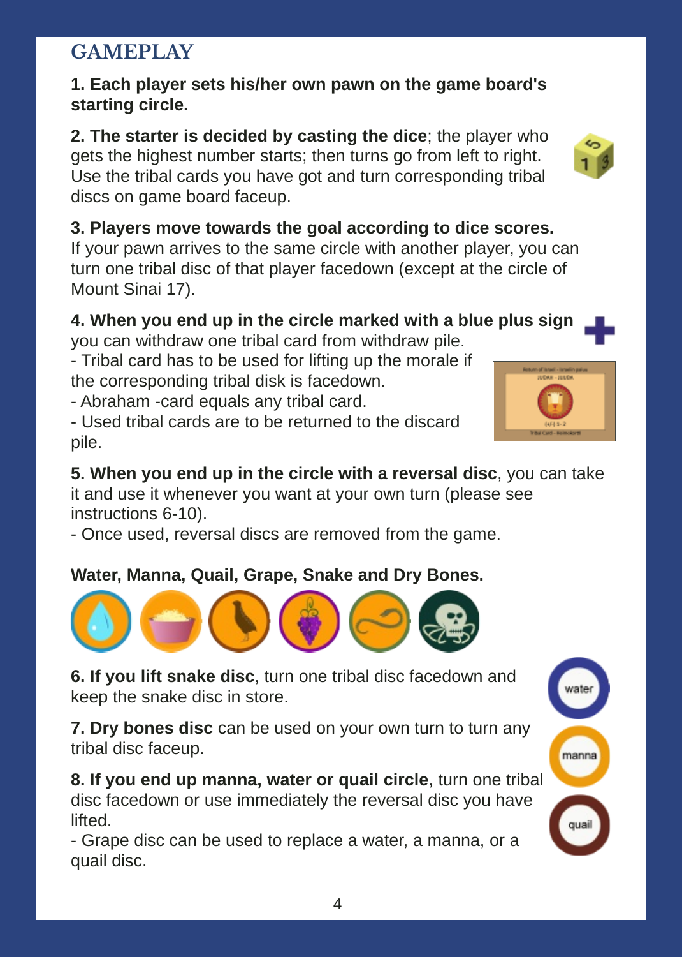# **GAMEPLAY**

### **1. Each player sets his/her own pawn on the game board's starting circle.**

**2. The starter is decided by casting the dice**; the player who gets the highest number starts; then turns go from left to right. Use the tribal cards you have got and turn corresponding tribal discs on game board faceup.

**3. Players move towards the goal according to dice scores.** If your pawn arrives to the same circle with another player, you can turn one tribal disc of that player facedown (except at the circle of Mount Sinai 17).

### **4. When you end up in the circle marked with a blue plus sign** you can withdraw one tribal card from withdraw pile.

- Tribal card has to be used for lifting up the morale if the corresponding tribal disk is facedown.

- Abraham -card equals any tribal card.

- Used tribal cards are to be returned to the discard pile.

**5. When you end up in the circle with a reversal disc**, you can take it and use it whenever you want at your own turn (please see instructions 6-10).

- Once used, reversal discs are removed from the game.

## **Water, Manna, Quail, Grape, Snake and Dry Bones.**

**7. Dry bones disc** can be used on your own turn to turn any tribal disc faceup.

**8. If you end up manna, water or quail circle**, turn one tribal disc facedown or use immediately the reversal disc you have lifted.

- Grape disc can be used to replace a water, a manna, or a quail disc.







**<sup>6.</sup> If you lift snake disc**, turn one tribal disc facedown and keep the snake disc in store.